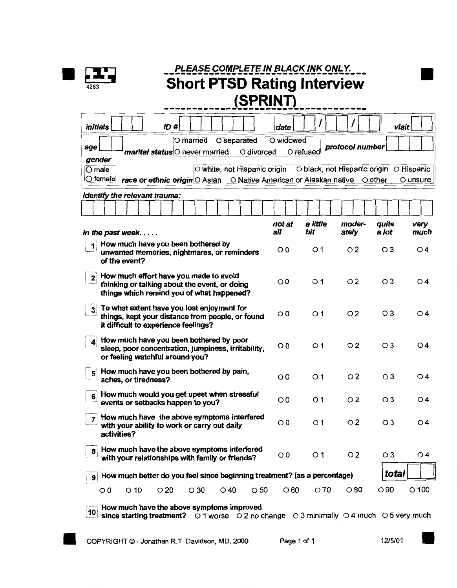

| <i>initials</i>                                                                                                                                      |                                                                                                                                        | ID#                                       |            |                                           |            | date       |                |                                             | visit                                   |                  |
|------------------------------------------------------------------------------------------------------------------------------------------------------|----------------------------------------------------------------------------------------------------------------------------------------|-------------------------------------------|------------|-------------------------------------------|------------|------------|----------------|---------------------------------------------|-----------------------------------------|------------------|
|                                                                                                                                                      |                                                                                                                                        |                                           | O married  | O separated                               |            | O widowed  |                | protocol number                             |                                         |                  |
| age<br>gender                                                                                                                                        |                                                                                                                                        | marital status <sup>O</sup> never married |            |                                           | O divorced |            | O refused      |                                             |                                         |                  |
| $\overline{O}$ male                                                                                                                                  |                                                                                                                                        |                                           |            | O white, not Hispanic origin              |            |            |                |                                             | O black, not Hispanic origin O Hispanic |                  |
| $\circ$ female                                                                                                                                       |                                                                                                                                        | race or ethnic origin O Asian             |            |                                           |            |            |                | O Native American or Alaskan native O other |                                         | O unsure         |
|                                                                                                                                                      | Identify the relevant trauma:                                                                                                          |                                           |            |                                           |            |            |                |                                             |                                         |                  |
|                                                                                                                                                      |                                                                                                                                        |                                           |            |                                           |            |            |                |                                             |                                         |                  |
|                                                                                                                                                      |                                                                                                                                        |                                           |            |                                           |            | not at     | a little       | moder-                                      | quite                                   | very             |
|                                                                                                                                                      | In the past week<br>How much have you been bothered by                                                                                 |                                           |            |                                           |            | all        | bit            | ately                                       | a lot                                   | much             |
|                                                                                                                                                      | unwanted memories, nightmares, or reminders<br>of the event?                                                                           |                                           |            |                                           |            | $\circ$ 0  | O <sub>1</sub> | O <sub>2</sub>                              | $\circ$ 3                               | O 4              |
| How much effort have you made to avoid<br>$\mathbf{2}$<br>thinking or talking about the event, or doing<br>things which remind you of what happened? |                                                                                                                                        |                                           |            |                                           |            | $\circ$ 0  | O <sub>1</sub> | $\overline{O}2$                             | $\circ$ 3                               | O4               |
| 3                                                                                                                                                    | To what extent have you lost enjoyment for<br>things, kept your distance from people, or found<br>it difficult to experience feelings? |                                           |            |                                           |            | $\circ$ 0  | O <sub>1</sub> | O <sub>2</sub>                              | $\circ$ 3                               | O 4              |
|                                                                                                                                                      | How much have you been bothered by poor<br>sleep, poor concentration, jumpiness, irritability,<br>or feeling watchful around you?      |                                           |            |                                           |            | $\circ$ 0  | O <sub>1</sub> | $\circ$ 2                                   | $\circ$ 3                               | $\overline{O}$ 4 |
| 5                                                                                                                                                    | How much have you been bothered by pain,<br>aches, or tiredness?                                                                       |                                           |            |                                           |            | $\circ$    | O <sub>1</sub> | O <sub>2</sub>                              | $\circ$ 3                               | O 4              |
| 6                                                                                                                                                    | How much would you get upset when stressful<br>events or setbacks happen to you?                                                       |                                           |            |                                           |            | $\circ$    | O <sub>1</sub> | O <sub>2</sub>                              | $\circ$ 3                               | $\overline{O}$ 4 |
|                                                                                                                                                      | How much have the above symptoms interfered<br>with your ability to work or carry out daily<br>activities?                             |                                           |            |                                           |            | $\circ$ 0  | O <sub>1</sub> | $\circ$ 2                                   | $\circ$ 3                               | $\circ$ 4        |
| 8                                                                                                                                                    | How much have the above symptoms interfered<br>with your relationships with family or friends?                                         |                                           |            |                                           |            | $\circ$    | $\circ$ 1      | O <sub>2</sub>                              | $\circ$ 3                               | O <sub>4</sub>   |
| 9                                                                                                                                                    | How much better do you feel since beginning treatment? (as a percentage)                                                               |                                           |            |                                           |            |            |                |                                             | total                                   |                  |
| $\circ$                                                                                                                                              | $\circ$ 10                                                                                                                             | $\circ$ 20                                | $\circ$ 30 | $\circ$ 40                                | $\circ$ 50 | $\circ$ 60 | O70            | $\circ$ 80                                  | $\circ$ 90                              | $\circ$ 100      |
|                                                                                                                                                      |                                                                                                                                        |                                           |            | How much have the above symptoms improved |            |            |                |                                             |                                         |                  |

$$
2/5/0
$$